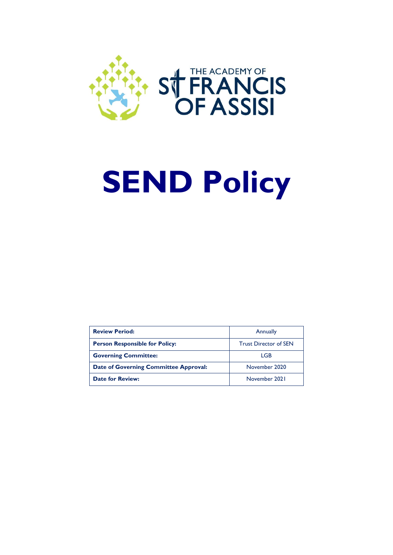

# **SEND Policy**

| <b>Review Period:</b>                 | Annually                     |
|---------------------------------------|------------------------------|
| <b>Person Responsible for Policy:</b> | <b>Trust Director of SEN</b> |
| <b>Governing Committee:</b>           | LGB                          |
| Date of Governing Committee Approval: | November 2020                |
| <b>Date for Review:</b>               | November 2021                |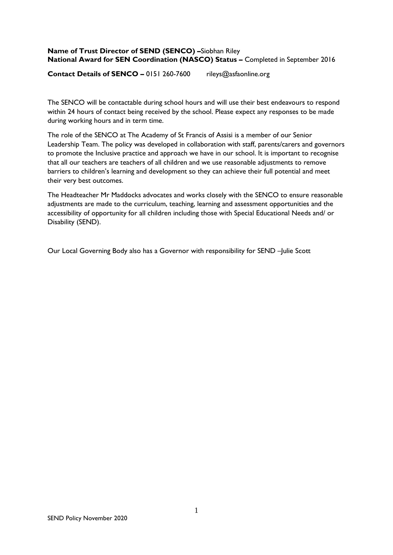# **Name of Trust Director of SEND (SENCO) –**Siobhan Riley **National Award for SEN Coordination (NASCO) Status –** Completed in September 2016

**Contact Details of SENCO –** 0151 260-7600 rileys@asfaonline.org

The SENCO will be contactable during school hours and will use their best endeavours to respond within 24 hours of contact being received by the school. Please expect any responses to be made during working hours and in term time.

The role of the SENCO at The Academy of St Francis of Assisi is a member of our Senior Leadership Team. The policy was developed in collaboration with staff, parents/carers and governors to promote the Inclusive practice and approach we have in our school. It is important to recognise that all our teachers are teachers of all children and we use reasonable adjustments to remove barriers to children's learning and development so they can achieve their full potential and meet their very best outcomes.

The Headteacher Mr Maddocks advocates and works closely with the SENCO to ensure reasonable adjustments are made to the curriculum, teaching, learning and assessment opportunities and the accessibility of opportunity for all children including those with Special Educational Needs and/ or Disability (SEND).

Our Local Governing Body also has a Governor with responsibility for SEND –Julie Scott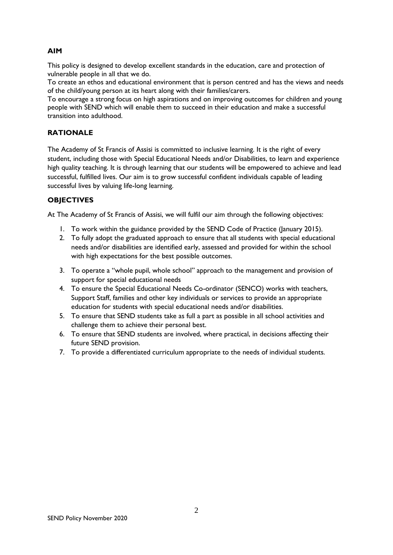# **AIM**

This policy is designed to develop excellent standards in the education, care and protection of vulnerable people in all that we do.

To create an ethos and educational environment that is person centred and has the views and needs of the child/young person at its heart along with their families/carers.

To encourage a strong focus on high aspirations and on improving outcomes for children and young people with SEND which will enable them to succeed in their education and make a successful transition into adulthood.

# **RATIONALE**

The Academy of St Francis of Assisi is committed to inclusive learning. It is the right of every student, including those with Special Educational Needs and/or Disabilities, to learn and experience high quality teaching. It is through learning that our students will be empowered to achieve and lead successful, fulfilled lives. Our aim is to grow successful confident individuals capable of leading successful lives by valuing life-long learning.

# **OBJECTIVES**

At The Academy of St Francis of Assisi, we will fulfil our aim through the following objectives:

- 1. To work within the guidance provided by the SEND Code of Practice (January 2015).
- 2. To fully adopt the graduated approach to ensure that all students with special educational needs and/or disabilities are identified early, assessed and provided for within the school with high expectations for the best possible outcomes.
- 3. To operate a "whole pupil, whole school" approach to the management and provision of support for special educational needs
- 4. To ensure the Special Educational Needs Co-ordinator (SENCO) works with teachers, Support Staff, families and other key individuals or services to provide an appropriate education for students with special educational needs and/or disabilities.
- 5. To ensure that SEND students take as full a part as possible in all school activities and challenge them to achieve their personal best.
- 6. To ensure that SEND students are involved, where practical, in decisions affecting their future SEND provision.
- 7. To provide a differentiated curriculum appropriate to the needs of individual students.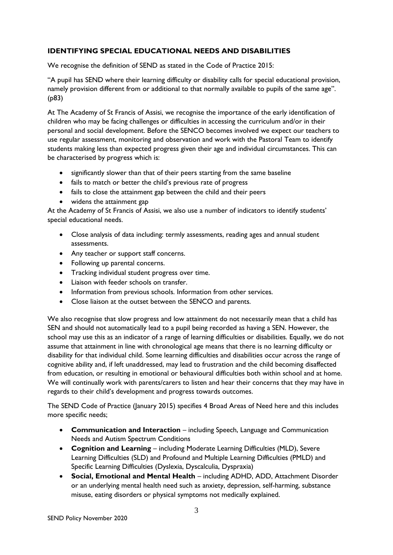# **IDENTIFYING SPECIAL EDUCATIONAL NEEDS AND DISABILITIES**

We recognise the definition of SEND as stated in the Code of Practice 2015:

"A pupil has SEND where their learning difficulty or disability calls for special educational provision, namely provision different from or additional to that normally available to pupils of the same age". (p83)

At The Academy of St Francis of Assisi, we recognise the importance of the early identification of children who may be facing challenges or difficulties in accessing the curriculum and/or in their personal and social development. Before the SENCO becomes involved we expect our teachers to use regular assessment, monitoring and observation and work with the Pastoral Team to identify students making less than expected progress given their age and individual circumstances. This can be characterised by progress which is:

- significantly slower than that of their peers starting from the same baseline
- fails to match or better the child's previous rate of progress
- fails to close the attainment gap between the child and their peers
- widens the attainment gap

At the Academy of St Francis of Assisi, we also use a number of indicators to identify students' special educational needs.

- Close analysis of data including: termly assessments, reading ages and annual student assessments.
- Any teacher or support staff concerns.
- Following up parental concerns.
- Tracking individual student progress over time.
- Liaison with feeder schools on transfer.
- Information from previous schools. Information from other services.
- Close liaison at the outset between the SENCO and parents.

We also recognise that slow progress and low attainment do not necessarily mean that a child has SEN and should not automatically lead to a pupil being recorded as having a SEN. However, the school may use this as an indicator of a range of learning difficulties or disabilities. Equally, we do not assume that attainment in line with chronological age means that there is no learning difficulty or disability for that individual child. Some learning difficulties and disabilities occur across the range of cognitive ability and, if left unaddressed, may lead to frustration and the child becoming disaffected from education, or resulting in emotional or behavioural difficulties both within school and at home. We will continually work with parents/carers to listen and hear their concerns that they may have in regards to their child's development and progress towards outcomes.

The SEND Code of Practice (January 2015) specifies 4 Broad Areas of Need here and this includes more specific needs;

- **Communication and Interaction** including Speech, Language and Communication Needs and Autism Spectrum Conditions
- **Cognition and Learning** including Moderate Learning Difficulties (MLD), Severe Learning Difficulties (SLD) and Profound and Multiple Learning Difficulties (PMLD) and Specific Learning Difficulties (Dyslexia, Dyscalculia, Dyspraxia)
- **Social, Emotional and Mental Health**  including ADHD, ADD, Attachment Disorder or an underlying mental health need such as anxiety, depression, self-harming, substance misuse, eating disorders or physical symptoms not medically explained.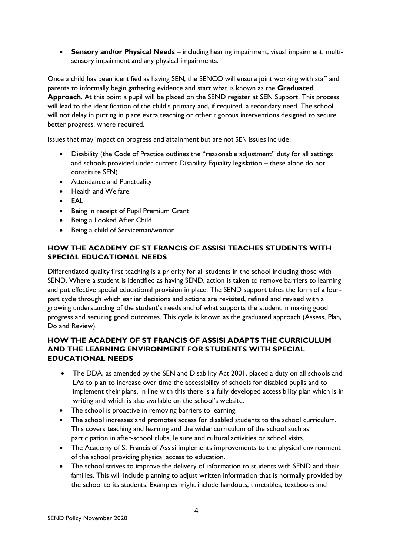**Sensory and/or Physical Needs** – including hearing impairment, visual impairment, multisensory impairment and any physical impairments.

Once a child has been identified as having SEN, the SENCO will ensure joint working with staff and parents to informally begin gathering evidence and start what is known as the **Graduated Approach**. At this point a pupil will be placed on the SEND register at SEN Support. This process will lead to the identification of the child's primary and, if required, a secondary need. The school will not delay in putting in place extra teaching or other rigorous interventions designed to secure better progress, where required.

Issues that may impact on progress and attainment but are not SEN issues include:

- Disability (the Code of Practice outlines the "reasonable adjustment" duty for all settings and schools provided under current Disability Equality legislation – these alone do not constitute SEN)
- Attendance and Punctuality
- Health and Welfare
- EAL
- Being in receipt of Pupil Premium Grant
- Being a Looked After Child
- Being a child of Serviceman/woman

# **HOW THE ACADEMY OF ST FRANCIS OF ASSISI TEACHES STUDENTS WITH SPECIAL EDUCATIONAL NEEDS**

Differentiated quality first teaching is a priority for all students in the school including those with SEND. Where a student is identified as having SEND, action is taken to remove barriers to learning and put effective special educational provision in place. The SEND support takes the form of a fourpart cycle through which earlier decisions and actions are revisited, refined and revised with a growing understanding of the student's needs and of what supports the student in making good progress and securing good outcomes. This cycle is known as the graduated approach (Assess, Plan, Do and Review).

# **HOW THE ACADEMY OF ST FRANCIS OF ASSISI ADAPTS THE CURRICULUM AND THE LEARNING ENVIRONMENT FOR STUDENTS WITH SPECIAL EDUCATIONAL NEEDS**

- The DDA, as amended by the SEN and Disability Act 2001, placed a duty on all schools and LAs to plan to increase over time the accessibility of schools for disabled pupils and to implement their plans. In line with this there is a fully developed accessibility plan which is in writing and which is also available on the school's website.
- The school is proactive in removing barriers to learning.
- The school increases and promotes access for disabled students to the school curriculum. This covers teaching and learning and the wider curriculum of the school such as participation in after-school clubs, leisure and cultural activities or school visits.
- The Academy of St Francis of Assisi implements improvements to the physical environment of the school providing physical access to education.
- The school strives to improve the delivery of information to students with SEND and their families. This will include planning to adjust written information that is normally provided by the school to its students. Examples might include handouts, timetables, textbooks and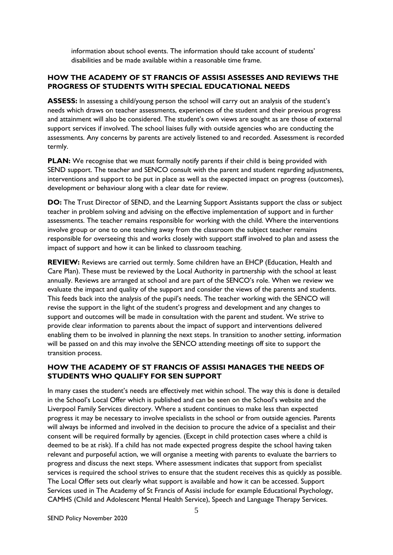information about school events. The information should take account of students' disabilities and be made available within a reasonable time frame.

# **HOW THE ACADEMY OF ST FRANCIS OF ASSISI ASSESSES AND REVIEWS THE PROGRESS OF STUDENTS WITH SPECIAL EDUCATIONAL NEEDS**

**ASSESS:** In assessing a child/young person the school will carry out an analysis of the student's needs which draws on teacher assessments, experiences of the student and their previous progress and attainment will also be considered. The student's own views are sought as are those of external support services if involved. The school liaises fully with outside agencies who are conducting the assessments. Any concerns by parents are actively listened to and recorded. Assessment is recorded termly.

**PLAN:** We recognise that we must formally notify parents if their child is being provided with SEND support. The teacher and SENCO consult with the parent and student regarding adjustments, interventions and support to be put in place as well as the expected impact on progress (outcomes), development or behaviour along with a clear date for review.

**DO:** The Trust Director of SEND, and the Learning Support Assistants support the class or subject teacher in problem solving and advising on the effective implementation of support and in further assessments. The teacher remains responsible for working with the child. Where the interventions involve group or one to one teaching away from the classroom the subject teacher remains responsible for overseeing this and works closely with support staff involved to plan and assess the impact of support and how it can be linked to classroom teaching.

**REVIEW:** Reviews are carried out termly. Some children have an EHCP (Education, Health and Care Plan). These must be reviewed by the Local Authority in partnership with the school at least annually. Reviews are arranged at school and are part of the SENCO's role. When we review we evaluate the impact and quality of the support and consider the views of the parents and students. This feeds back into the analysis of the pupil's needs. The teacher working with the SENCO will revise the support in the light of the student's progress and development and any changes to support and outcomes will be made in consultation with the parent and student. We strive to provide clear information to parents about the impact of support and interventions delivered enabling them to be involved in planning the next steps. In transition to another setting, information will be passed on and this may involve the SENCO attending meetings off site to support the transition process.

# **HOW THE ACADEMY OF ST FRANCIS OF ASSISI MANAGES THE NEEDS OF STUDENTS WHO QUALIFY FOR SEN SUPPORT**

In many cases the student's needs are effectively met within school. The way this is done is detailed in the School's Local Offer which is published and can be seen on the School's website and the Liverpool Family Services directory. Where a student continues to make less than expected progress it may be necessary to involve specialists in the school or from outside agencies. Parents will always be informed and involved in the decision to procure the advice of a specialist and their consent will be required formally by agencies. (Except in child protection cases where a child is deemed to be at risk). If a child has not made expected progress despite the school having taken relevant and purposeful action, we will organise a meeting with parents to evaluate the barriers to progress and discuss the next steps. Where assessment indicates that support from specialist services is required the school strives to ensure that the student receives this as quickly as possible. The Local Offer sets out clearly what support is available and how it can be accessed. Support Services used in The Academy of St Francis of Assisi include for example Educational Psychology, CAMHS (Child and Adolescent Mental Health Service), Speech and Language Therapy Services.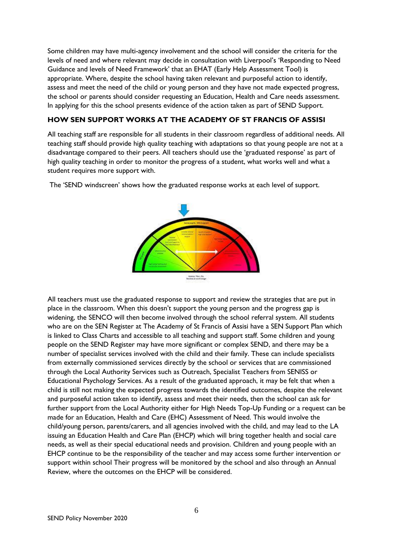Some children may have multi-agency involvement and the school will consider the criteria for the levels of need and where relevant may decide in consultation with Liverpool's 'Responding to Need Guidance and levels of Need Framework' that an EHAT (Early Help Assessment Tool) is appropriate. Where, despite the school having taken relevant and purposeful action to identify, assess and meet the need of the child or young person and they have not made expected progress, the school or parents should consider requesting an Education, Health and Care needs assessment. In applying for this the school presents evidence of the action taken as part of SEND Support.

# **HOW SEN SUPPORT WORKS AT THE ACADEMY OF ST FRANCIS OF ASSISI**

All teaching staff are responsible for all students in their classroom regardless of additional needs. All teaching staff should provide high quality teaching with adaptations so that young people are not at a disadvantage compared to their peers. All teachers should use the 'graduated response' as part of high quality teaching in order to monitor the progress of a student, what works well and what a student requires more support with.

**Anima** Plan, En.<br>Review at our hybrid

The 'SEND windscreen' shows how the graduated response works at each level of support.

All teachers must use the graduated response to support and review the strategies that are put in place in the classroom. When this doesn't support the young person and the progress gap is widening, the SENCO will then become involved through the school referral system. All students who are on the SEN Register at The Academy of St Francis of Assisi have a SEN Support Plan which is linked to Class Charts and accessible to all teaching and support staff. Some children and young people on the SEND Register may have more significant or complex SEND, and there may be a number of specialist services involved with the child and their family. These can include specialists from externally commissioned services directly by the school or services that are commissioned through the Local Authority Services such as Outreach, Specialist Teachers from SENISS or Educational Psychology Services. As a result of the graduated approach, it may be felt that when a child is still not making the expected progress towards the identified outcomes, despite the relevant and purposeful action taken to identify, assess and meet their needs, then the school can ask for further support from the Local Authority either for High Needs Top-Up Funding or a request can be made for an Education, Health and Care (EHC) Assessment of Need. This would involve the child/young person, parents/carers, and all agencies involved with the child, and may lead to the LA issuing an Education Health and Care Plan (EHCP) which will bring together health and social care needs, as well as their special educational needs and provision. Children and young people with an EHCP continue to be the responsibility of the teacher and may access some further intervention or support within school Their progress will be monitored by the school and also through an Annual Review, where the outcomes on the EHCP will be considered.

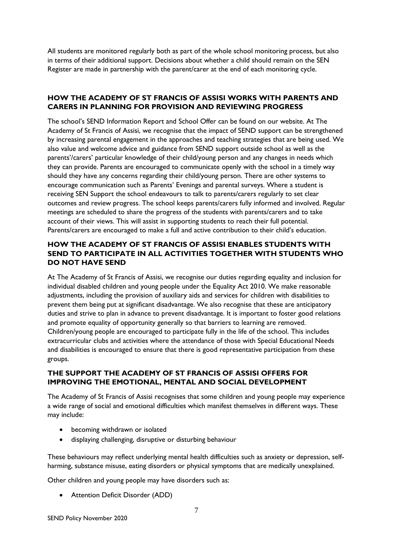All students are monitored regularly both as part of the whole school monitoring process, but also in terms of their additional support. Decisions about whether a child should remain on the SEN Register are made in partnership with the parent/carer at the end of each monitoring cycle.

# **HOW THE ACADEMY OF ST FRANCIS OF ASSISI WORKS WITH PARENTS AND CARERS IN PLANNING FOR PROVISION AND REVIEWING PROGRESS**

The school's SEND Information Report and School Offer can be found on our website. At The Academy of St Francis of Assisi, we recognise that the impact of SEND support can be strengthened by increasing parental engagement in the approaches and teaching strategies that are being used. We also value and welcome advice and guidance from SEND support outside school as well as the parents'/carers' particular knowledge of their child/young person and any changes in needs which they can provide. Parents are encouraged to communicate openly with the school in a timely way should they have any concerns regarding their child/young person. There are other systems to encourage communication such as Parents' Evenings and parental surveys. Where a student is receiving SEN Support the school endeavours to talk to parents/carers regularly to set clear outcomes and review progress. The school keeps parents/carers fully informed and involved. Regular meetings are scheduled to share the progress of the students with parents/carers and to take account of their views. This will assist in supporting students to reach their full potential. Parents/carers are encouraged to make a full and active contribution to their child's education.

# **HOW THE ACADEMY OF ST FRANCIS OF ASSISI ENABLES STUDENTS WITH SEND TO PARTICIPATE IN ALL ACTIVITIES TOGETHER WITH STUDENTS WHO DO NOT HAVE SEND**

At The Academy of St Francis of Assisi, we recognise our duties regarding equality and inclusion for individual disabled children and young people under the Equality Act 2010. We make reasonable adjustments, including the provision of auxiliary aids and services for children with disabilities to prevent them being put at significant disadvantage. We also recognise that these are anticipatory duties and strive to plan in advance to prevent disadvantage. It is important to foster good relations and promote equality of opportunity generally so that barriers to learning are removed. Children/young people are encouraged to participate fully in the life of the school. This includes extracurricular clubs and activities where the attendance of those with Special Educational Needs and disabilities is encouraged to ensure that there is good representative participation from these groups.

# **THE SUPPORT THE ACADEMY OF ST FRANCIS OF ASSISI OFFERS FOR IMPROVING THE EMOTIONAL, MENTAL AND SOCIAL DEVELOPMENT**

The Academy of St Francis of Assisi recognises that some children and young people may experience a wide range of social and emotional difficulties which manifest themselves in different ways. These may include:

- becoming withdrawn or isolated
- displaying challenging, disruptive or disturbing behaviour

These behaviours may reflect underlying mental health difficulties such as anxiety or depression, selfharming, substance misuse, eating disorders or physical symptoms that are medically unexplained.

Other children and young people may have disorders such as:

Attention Deficit Disorder (ADD)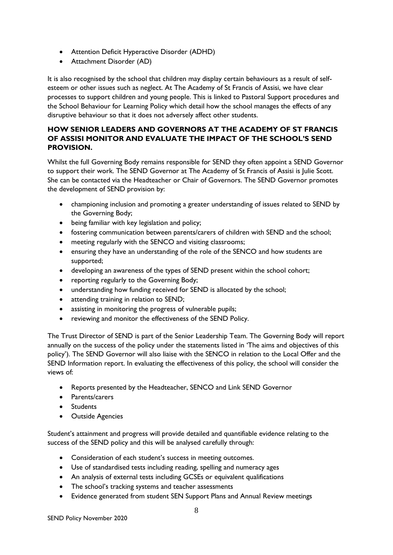- Attention Deficit Hyperactive Disorder (ADHD)
- Attachment Disorder (AD)

It is also recognised by the school that children may display certain behaviours as a result of selfesteem or other issues such as neglect. At The Academy of St Francis of Assisi, we have clear processes to support children and young people. This is linked to Pastoral Support procedures and the School Behaviour for Learning Policy which detail how the school manages the effects of any disruptive behaviour so that it does not adversely affect other students.

# **HOW SENIOR LEADERS AND GOVERNORS AT THE ACADEMY OF ST FRANCIS OF ASSISI MONITOR AND EVALUATE THE IMPACT OF THE SCHOOL'S SEND PROVISION.**

Whilst the full Governing Body remains responsible for SEND they often appoint a SEND Governor to support their work. The SEND Governor at The Academy of St Francis of Assisi is Julie Scott. She can be contacted via the Headteacher or Chair of Governors. The SEND Governor promotes the development of SEND provision by:

- championing inclusion and promoting a greater understanding of issues related to SEND by the Governing Body;
- being familiar with key legislation and policy;
- fostering communication between parents/carers of children with SEND and the school;
- meeting regularly with the SENCO and visiting classrooms;
- ensuring they have an understanding of the role of the SENCO and how students are supported;
- developing an awareness of the types of SEND present within the school cohort;
- reporting regularly to the Governing Body;
- understanding how funding received for SEND is allocated by the school;
- attending training in relation to SEND;
- assisting in monitoring the progress of vulnerable pupils;
- reviewing and monitor the effectiveness of the SEND Policy.

The Trust Director of SEND is part of the Senior Leadership Team. The Governing Body will report annually on the success of the policy under the statements listed in 'The aims and objectives of this policy'). The SEND Governor will also liaise with the SENCO in relation to the Local Offer and the SEND Information report. In evaluating the effectiveness of this policy, the school will consider the views of:

- Reports presented by the Headteacher, SENCO and Link SEND Governor
- Parents/carers
- **•** Students
- Outside Agencies

Student's attainment and progress will provide detailed and quantifiable evidence relating to the success of the SEND policy and this will be analysed carefully through:

- Consideration of each student's success in meeting outcomes.
- Use of standardised tests including reading, spelling and numeracy ages
- An analysis of external tests including GCSEs or equivalent qualifications
- The school's tracking systems and teacher assessments
- Evidence generated from student SEN Support Plans and Annual Review meetings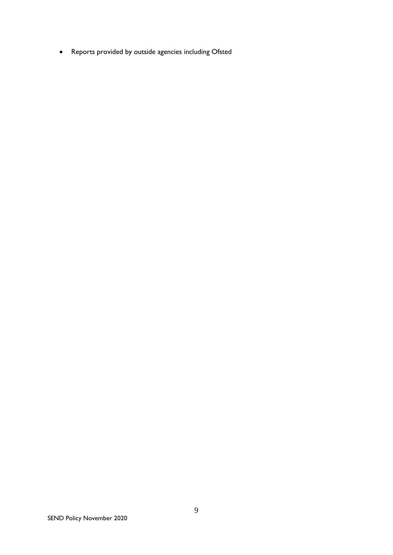Reports provided by outside agencies including Ofsted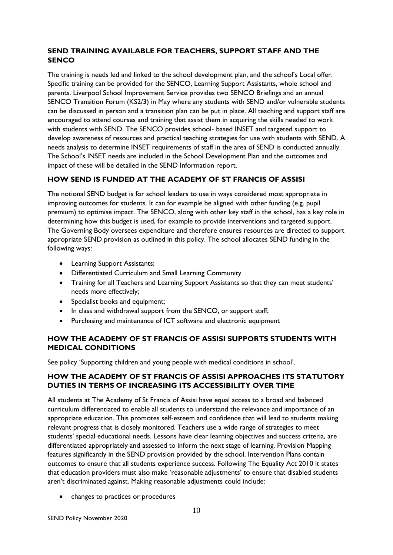# **SEND TRAINING AVAILABLE FOR TEACHERS, SUPPORT STAFF AND THE SENCO**

The training is needs led and linked to the school development plan, and the school's Local offer. Specific training can be provided for the SENCO, Learning Support Assistants, whole school and parents. Liverpool School Improvement Service provides two SENCO Briefings and an annual SENCO Transition Forum (KS2/3) in May where any students with SEND and/or vulnerable students can be discussed in person and a transition plan can be put in place. All teaching and support staff are encouraged to attend courses and training that assist them in acquiring the skills needed to work with students with SEND. The SENCO provides school- based INSET and targeted support to develop awareness of resources and practical teaching strategies for use with students with SEND. A needs analysis to determine INSET requirements of staff in the area of SEND is conducted annually. The School's INSET needs are included in the School Development Plan and the outcomes and impact of these will be detailed in the SEND Information report.

# **HOW SEND IS FUNDED AT THE ACADEMY OF ST FRANCIS OF ASSISI**

The notional SEND budget is for school leaders to use in ways considered most appropriate in improving outcomes for students. It can for example be aligned with other funding (e.g. pupil premium) to optimise impact. The SENCO, along with other key staff in the school, has a key role in determining how this budget is used, for example to provide interventions and targeted support. The Governing Body oversees expenditure and therefore ensures resources are directed to support appropriate SEND provision as outlined in this policy. The school allocates SEND funding in the following ways:

- Learning Support Assistants;
- Differentiated Curriculum and Small Learning Community
- Training for all Teachers and Learning Support Assistants so that they can meet students' needs more effectively;
- Specialist books and equipment;
- In class and withdrawal support from the SENCO, or support staff;
- Purchasing and maintenance of ICT software and electronic equipment

# **HOW THE ACADEMY OF ST FRANCIS OF ASSISI SUPPORTS STUDENTS WITH MEDICAL CONDITIONS**

See policy 'Supporting children and young people with medical conditions in school'.

# **HOW THE ACADEMY OF ST FRANCIS OF ASSISI APPROACHES ITS STATUTORY DUTIES IN TERMS OF INCREASING ITS ACCESSIBILITY OVER TIME**

All students at The Academy of St Francis of Assisi have equal access to a broad and balanced curriculum differentiated to enable all students to understand the relevance and importance of an appropriate education. This promotes self-esteem and confidence that will lead to students making relevant progress that is closely monitored. Teachers use a wide range of strategies to meet students' special educational needs. Lessons have clear learning objectives and success criteria, are differentiated appropriately and assessed to inform the next stage of learning. Provision Mapping features significantly in the SEND provision provided by the school. Intervention Plans contain outcomes to ensure that all students experience success. Following The Equality Act 2010 it states that education providers must also make 'reasonable adjustments' to ensure that disabled students aren't discriminated against. Making reasonable adjustments could include:

• changes to practices or procedures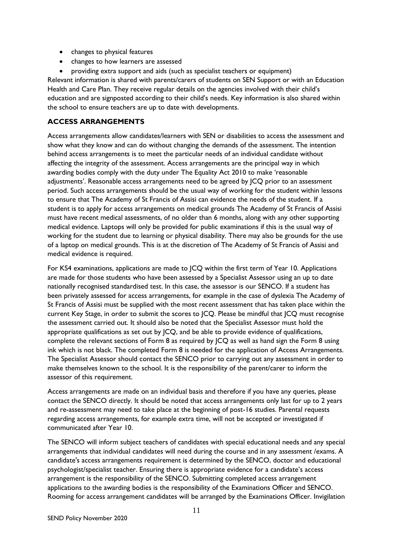- changes to physical features
- changes to how learners are assessed
- providing extra support and aids (such as specialist teachers or equipment)

Relevant information is shared with parents/carers of students on SEN Support or with an Education Health and Care Plan. They receive regular details on the agencies involved with their child's education and are signposted according to their child's needs. Key information is also shared within the school to ensure teachers are up to date with developments.

# **ACCESS ARRANGEMENTS**

Access arrangements allow candidates/learners with SEN or disabilities to access the assessment and show what they know and can do without changing the demands of the assessment. The intention behind access arrangements is to meet the particular needs of an individual candidate without affecting the integrity of the assessment. Access arrangements are the principal way in which awarding bodies comply with the duty under The Equality Act 2010 to make 'reasonable adjustments'. Reasonable access arrangements need to be agreed by JCQ prior to an assessment period. Such access arrangements should be the usual way of working for the student within lessons to ensure that The Academy of St Francis of Assisi can evidence the needs of the student. If a student is to apply for access arrangements on medical grounds The Academy of St Francis of Assisi must have recent medical assessments, of no older than 6 months, along with any other supporting medical evidence. Laptops will only be provided for public examinations if this is the usual way of working for the student due to learning or physical disability. There may also be grounds for the use of a laptop on medical grounds. This is at the discretion of The Academy of St Francis of Assisi and medical evidence is required.

For KS4 examinations, applications are made to JCQ within the first term of Year 10. Applications are made for those students who have been assessed by a Specialist Assessor using an up to date nationally recognised standardised test. In this case, the assessor is our SENCO. If a student has been privately assessed for access arrangements, for example in the case of dyslexia The Academy of St Francis of Assisi must be supplied with the most recent assessment that has taken place within the current Key Stage, in order to submit the scores to JCQ. Please be mindful that JCQ must recognise the assessment carried out. It should also be noted that the Specialist Assessor must hold the appropriate qualifications as set out by JCQ, and be able to provide evidence of qualifications, complete the relevant sections of Form 8 as required by JCQ as well as hand sign the Form 8 using ink which is not black. The completed Form 8 is needed for the application of Access Arrangements. The Specialist Assessor should contact the SENCO prior to carrying out any assessment in order to make themselves known to the school. It is the responsibility of the parent/carer to inform the assessor of this requirement.

Access arrangements are made on an individual basis and therefore if you have any queries, please contact the SENCO directly. It should be noted that access arrangements only last for up to 2 years and re-assessment may need to take place at the beginning of post-16 studies. Parental requests regarding access arrangements, for example extra time, will not be accepted or investigated if communicated after Year 10.

The SENCO will inform subject teachers of candidates with special educational needs and any special arrangements that individual candidates will need during the course and in any assessment /exams. A candidate's access arrangements requirement is determined by the SENCO, doctor and educational psychologist/specialist teacher. Ensuring there is appropriate evidence for a candidate's access arrangement is the responsibility of the SENCO. Submitting completed access arrangement applications to the awarding bodies is the responsibility of the Examinations Officer and SENCO. Rooming for access arrangement candidates will be arranged by the Examinations Officer. Invigilation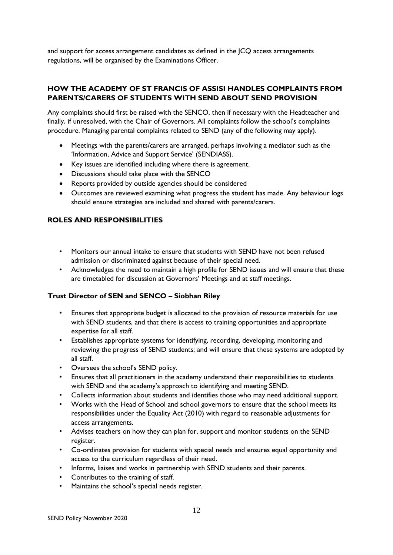and support for access arrangement candidates as defined in the JCQ access arrangements regulations, will be organised by the Examinations Officer.

# **HOW THE ACADEMY OF ST FRANCIS OF ASSISI HANDLES COMPLAINTS FROM PARENTS/CARERS OF STUDENTS WITH SEND ABOUT SEND PROVISION**

Any complaints should first be raised with the SENCO, then if necessary with the Headteacher and finally, if unresolved, with the Chair of Governors. All complaints follow the school's complaints procedure. Managing parental complaints related to SEND (any of the following may apply).

- Meetings with the parents/carers are arranged, perhaps involving a mediator such as the 'Information, Advice and Support Service' (SENDIASS).
- Key issues are identified including where there is agreement.
- Discussions should take place with the SENCO
- Reports provided by outside agencies should be considered
- Outcomes are reviewed examining what progress the student has made. Any behaviour logs should ensure strategies are included and shared with parents/carers.

# **ROLES AND RESPONSIBILITIES**

- Monitors our annual intake to ensure that students with SEND have not been refused admission or discriminated against because of their special need.
- Acknowledges the need to maintain a high profile for SEND issues and will ensure that these are timetabled for discussion at Governors' Meetings and at staff meetings.

#### **Trust Director of SEN and SENCO – Siobhan Riley**

- Ensures that appropriate budget is allocated to the provision of resource materials for use with SEND students, and that there is access to training opportunities and appropriate expertise for all staff.
- Establishes appropriate systems for identifying, recording, developing, monitoring and reviewing the progress of SEND students; and will ensure that these systems are adopted by all staff.
- Oversees the school's SEND policy.
- Ensures that all practitioners in the academy understand their responsibilities to students with SEND and the academy's approach to identifying and meeting SEND.
- Collects information about students and identifies those who may need additional support.
- Works with the Head of School and school governors to ensure that the school meets its responsibilities under the Equality Act (2010) with regard to reasonable adjustments for access arrangements.
- Advises teachers on how they can plan for, support and monitor students on the SEND register.
- Co-ordinates provision for students with special needs and ensures equal opportunity and access to the curriculum regardless of their need.
- Informs, liaises and works in partnership with SEND students and their parents.
- Contributes to the training of staff.
- Maintains the school's special needs register.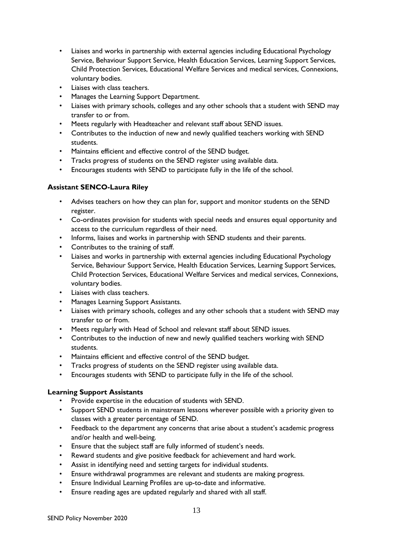- Liaises and works in partnership with external agencies including Educational Psychology Service, Behaviour Support Service, Health Education Services, Learning Support Services, Child Protection Services, Educational Welfare Services and medical services, Connexions, voluntary bodies.
- Liaises with class teachers.
- Manages the Learning Support Department.
- Liaises with primary schools, colleges and any other schools that a student with SEND may transfer to or from.
- Meets regularly with Headteacher and relevant staff about SEND issues.
- Contributes to the induction of new and newly qualified teachers working with SEND students.
- Maintains efficient and effective control of the SEND budget.
- Tracks progress of students on the SEND register using available data.
- Encourages students with SEND to participate fully in the life of the school.

# **Assistant SENCO-Laura Riley**

- Advises teachers on how they can plan for, support and monitor students on the SEND register.
- Co-ordinates provision for students with special needs and ensures equal opportunity and access to the curriculum regardless of their need.
- Informs, liaises and works in partnership with SEND students and their parents.
- Contributes to the training of staff.
- Liaises and works in partnership with external agencies including Educational Psychology Service, Behaviour Support Service, Health Education Services, Learning Support Services, Child Protection Services, Educational Welfare Services and medical services, Connexions, voluntary bodies.
- Liaises with class teachers.
- Manages Learning Support Assistants.
- Liaises with primary schools, colleges and any other schools that a student with SEND may transfer to or from.
- Meets regularly with Head of School and relevant staff about SEND issues.
- Contributes to the induction of new and newly qualified teachers working with SEND students.
- Maintains efficient and effective control of the SEND budget.
- Tracks progress of students on the SEND register using available data.
- Encourages students with SEND to participate fully in the life of the school.

# **Learning Support Assistants**

- Provide expertise in the education of students with SEND.
- Support SEND students in mainstream lessons wherever possible with a priority given to classes with a greater percentage of SEND.
- Feedback to the department any concerns that arise about a student's academic progress and/or health and well-being.
- Ensure that the subject staff are fully informed of student's needs.
- Reward students and give positive feedback for achievement and hard work.
- Assist in identifying need and setting targets for individual students.
- Ensure withdrawal programmes are relevant and students are making progress.
- Ensure Individual Learning Profiles are up-to-date and informative.
- Ensure reading ages are updated regularly and shared with all staff.